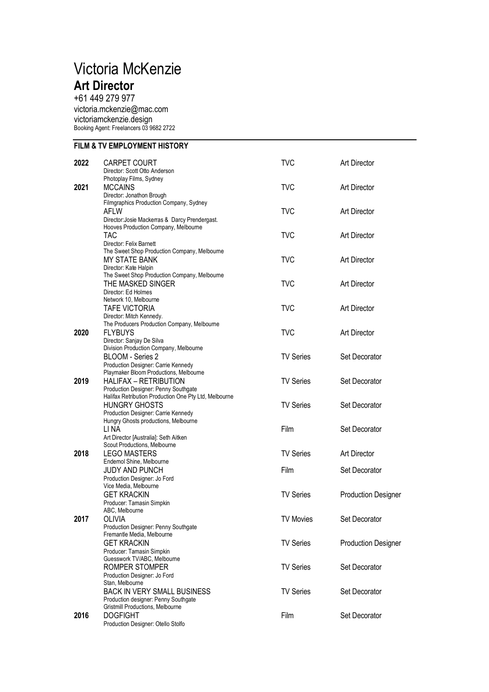## Victoria McKenzie **Art Director**

+61 449 279 977 [victoria.mckenzie@mac.com](mailto:victoria.mckenzie@mac.com) victoriamckenzie.design Booking Agent: Freelancers 03 9682 2722

## **FILM & TV EMPLOYMENT HISTORY**

| 2022 | <b>CARPET COURT</b>                                   | <b>TVC</b>       | <b>Art Director</b>        |
|------|-------------------------------------------------------|------------------|----------------------------|
|      | Director: Scott Otto Anderson                         |                  |                            |
|      | Photoplay Films, Sydney                               |                  |                            |
| 2021 | <b>MCCAINS</b>                                        | <b>TVC</b>       | <b>Art Director</b>        |
|      | Director: Jonathon Brough                             |                  |                            |
|      | Filmgraphics Production Company, Sydney               |                  |                            |
|      | AFLW                                                  | <b>TVC</b>       | <b>Art Director</b>        |
|      | Director: Josie Mackerras & Darcy Prendergast.        |                  |                            |
|      | Hooves Production Company, Melbourne                  |                  |                            |
|      | <b>TAC</b>                                            | <b>TVC</b>       | <b>Art Director</b>        |
|      | Director: Felix Barnett                               |                  |                            |
|      |                                                       |                  |                            |
|      | The Sweet Shop Production Company, Melbourne          |                  |                            |
|      | MY STATE BANK                                         | <b>TVC</b>       | <b>Art Director</b>        |
|      | Director: Kate Halpin                                 |                  |                            |
|      | The Sweet Shop Production Company, Melbourne          |                  |                            |
|      | THE MASKED SINGER                                     | <b>TVC</b>       | <b>Art Director</b>        |
|      | Director: Ed Holmes                                   |                  |                            |
|      | Network 10, Melbourne                                 |                  |                            |
|      | <b>TAFE VICTORIA</b>                                  | <b>TVC</b>       | <b>Art Director</b>        |
|      | Director: Mitch Kennedy.                              |                  |                            |
|      | The Producers Production Company, Melbourne           |                  |                            |
| 2020 | <b>FLYBUYS</b>                                        | <b>TVC</b>       | <b>Art Director</b>        |
|      | Director: Sanjay De Silva                             |                  |                            |
|      | Division Production Company, Melbourne                |                  |                            |
|      | <b>BLOOM - Series 2</b>                               | <b>TV Series</b> | Set Decorator              |
|      | Production Designer: Carrie Kennedy                   |                  |                            |
|      | Playmaker Bloom Productions, Melbourne                |                  |                            |
| 2019 | HALIFAX - RETRIBUTION                                 | <b>TV Series</b> | Set Decorator              |
|      | Production Designer: Penny Southgate                  |                  |                            |
|      | Halifax Retribution Production One Pty Ltd, Melbourne |                  |                            |
|      | <b>HUNGRY GHOSTS</b>                                  | <b>TV Series</b> | Set Decorator              |
|      | Production Designer: Carrie Kennedy                   |                  |                            |
|      | Hungry Ghosts productions, Melbourne                  |                  |                            |
|      | LI NA                                                 | Film             | Set Decorator              |
|      | Art Director [Australia]: Seth Aitken                 |                  |                            |
|      | Scout Productions, Melbourne                          |                  |                            |
| 2018 | <b>LEGO MASTERS</b>                                   | <b>TV Series</b> | <b>Art Director</b>        |
|      |                                                       |                  |                            |
|      | Endemol Shine, Melbourne                              |                  |                            |
|      | <b>JUDY AND PUNCH</b>                                 | Film             | Set Decorator              |
|      | Production Designer: Jo Ford                          |                  |                            |
|      | Vice Media, Melbourne                                 |                  |                            |
|      | <b>GET KRACKIN</b>                                    | <b>TV Series</b> | <b>Production Designer</b> |
|      | Producer: Tamasin Simpkin                             |                  |                            |
|      | ABC, Melbourne                                        |                  |                            |
| 2017 | <b>OLIVIA</b>                                         | <b>TV Movies</b> | Set Decorator              |
|      | Production Designer: Penny Southgate                  |                  |                            |
|      | Fremantle Media, Melbourne                            |                  |                            |
|      | <b>GET KRACKIN</b>                                    | <b>TV Series</b> | <b>Production Designer</b> |
|      | Producer: Tamasin Simpkin                             |                  |                            |
|      | Guesswork TV/ABC, Melbourne                           |                  |                            |
|      | ROMPER STOMPER                                        | <b>TV Series</b> | Set Decorator              |
|      | Production Designer: Jo Ford                          |                  |                            |
|      | Stan, Melbourne                                       |                  |                            |
|      | <b>BACK IN VERY SMALL BUSINESS</b>                    | <b>TV Series</b> | Set Decorator              |
|      | Production designer: Penny Southgate                  |                  |                            |
|      | Gristmill Productions, Melbourne                      |                  |                            |
| 2016 | <b>DOGFIGHT</b>                                       | Film             | Set Decorator              |
|      | Production Designer: Otello Stolfo                    |                  |                            |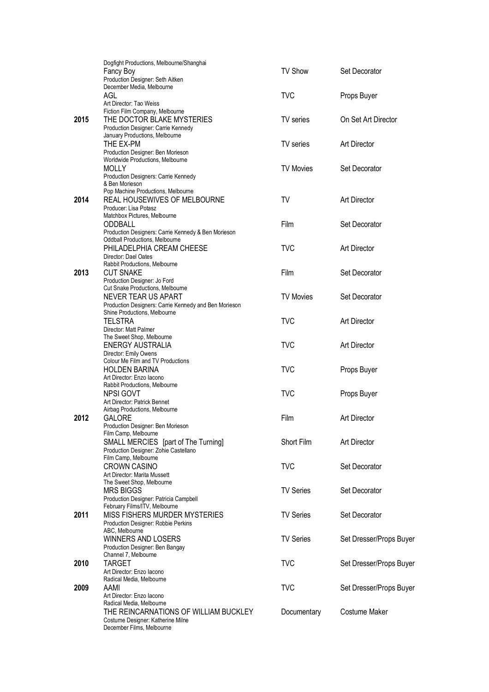|      | Dogfight Productions, Melbourne/Shanghai                   |                  |                         |
|------|------------------------------------------------------------|------------------|-------------------------|
|      | Fancy Boy                                                  | <b>TV Show</b>   | Set Decorator           |
|      | Production Designer: Seth Aitken                           |                  |                         |
|      | December Media, Melbourne                                  |                  |                         |
|      | AGL                                                        | <b>TVC</b>       | Props Buyer             |
|      | Art Director: Tao Weiss<br>Fiction Film Company, Melbourne |                  |                         |
| 2015 | THE DOCTOR BLAKE MYSTERIES                                 | TV series        | On Set Art Director     |
|      | Production Designer: Carrie Kennedy                        |                  |                         |
|      | January Productions, Melbourne                             |                  |                         |
|      | THE EX-PM                                                  | <b>TV</b> series | <b>Art Director</b>     |
|      | Production Designer: Ben Morieson                          |                  |                         |
|      | Worldwide Productions, Melbourne                           |                  |                         |
|      | <b>MOLLY</b>                                               | <b>TV Movies</b> | Set Decorator           |
|      | Production Designers: Carrie Kennedy                       |                  |                         |
|      | & Ben Morieson                                             |                  |                         |
|      | Pop Machine Productions, Melbourne                         |                  |                         |
| 2014 | REAL HOUSEWIVES OF MELBOURNE                               | TV               | <b>Art Director</b>     |
|      | Producer: Lisa Potasz                                      |                  |                         |
|      | Matchbox Pictures, Melbourne                               |                  |                         |
|      | ODDBALL                                                    | Film             | Set Decorator           |
|      | Production Designers: Carrie Kennedy & Ben Morieson        |                  |                         |
|      | <b>Oddball Productions, Melbourne</b>                      | <b>TVC</b>       |                         |
|      | PHILADELPHIA CREAM CHEESE                                  |                  | <b>Art Director</b>     |
|      | Director: Dael Oates<br>Rabbit Productions, Melbourne      |                  |                         |
| 2013 | <b>CUT SNAKE</b>                                           | Film             | Set Decorator           |
|      | Production Designer: Jo Ford                               |                  |                         |
|      | Cut Snake Productions, Melbourne                           |                  |                         |
|      | NEVER TEAR US APART                                        | <b>TV Movies</b> | Set Decorator           |
|      | Production Designers: Carrie Kennedy and Ben Morieson      |                  |                         |
|      | Shine Productions, Melbourne                               |                  |                         |
|      | <b>TELSTRA</b>                                             | <b>TVC</b>       | <b>Art Director</b>     |
|      | Director: Matt Palmer                                      |                  |                         |
|      | The Sweet Shop, Melbourne                                  |                  |                         |
|      | ENERGY AUSTRALIA                                           | <b>TVC</b>       | <b>Art Director</b>     |
|      | Director: Emily Owens                                      |                  |                         |
|      | Colour Me Film and TV Productions                          |                  |                         |
|      | <b>HOLDEN BARINA</b>                                       | <b>TVC</b>       | Props Buyer             |
|      | Art Director: Enzo lacono                                  |                  |                         |
|      | Rabbit Productions, Melbourne                              |                  |                         |
|      | NPSI GOVT                                                  | <b>TVC</b>       | Props Buyer             |
|      | Art Director: Patrick Bennet                               |                  |                         |
| 2012 | Airbag Productions, Melbourne<br>GALORE                    | Film             | <b>Art Director</b>     |
|      |                                                            |                  |                         |
|      | Production Designer: Ben Morieson<br>Film Camp, Melbourne  |                  |                         |
|      | SMALL MERCIES [part of The Turning]                        | Short Film       | <b>Art Director</b>     |
|      | Production Designer: Zohie Castellano                      |                  |                         |
|      | Film Camp, Melbourne                                       |                  |                         |
|      | <b>CROWN CASINO</b>                                        | <b>TVC</b>       | Set Decorator           |
|      | Art Director: Marita Mussett                               |                  |                         |
|      | The Sweet Shop, Melbourne                                  |                  |                         |
|      | <b>MRS BIGGS</b>                                           | <b>TV Series</b> | Set Decorator           |
|      | Production Designer: Patricia Campbell                     |                  |                         |
|      | February Films/ITV, Melbourne                              |                  |                         |
| 2011 | MISS FISHERS MURDER MYSTERIES                              | <b>TV Series</b> | Set Decorator           |
|      | Production Designer: Robbie Perkins                        |                  |                         |
|      | ABC, Melbourne                                             |                  |                         |
|      | WINNERS AND LOSERS                                         | <b>TV Series</b> | Set Dresser/Props Buyer |
|      | Production Designer: Ben Bangay                            |                  |                         |
|      | Channel 7, Melbourne                                       |                  |                         |
| 2010 | TARGET                                                     | <b>TVC</b>       | Set Dresser/Props Buyer |
|      | Art Director: Enzo lacono                                  |                  |                         |
| 2009 | Radical Media, Melbourne<br>AAMI                           | <b>TVC</b>       |                         |
|      | Art Director: Enzo lacono                                  |                  | Set Dresser/Props Buyer |
|      | Radical Media, Melbourne                                   |                  |                         |
|      | THE REINCARNATIONS OF WILLIAM BUCKLEY                      | Documentary      | Costume Maker           |
|      | Costume Designer: Katherine Milne                          |                  |                         |
|      | December Films, Melbourne                                  |                  |                         |